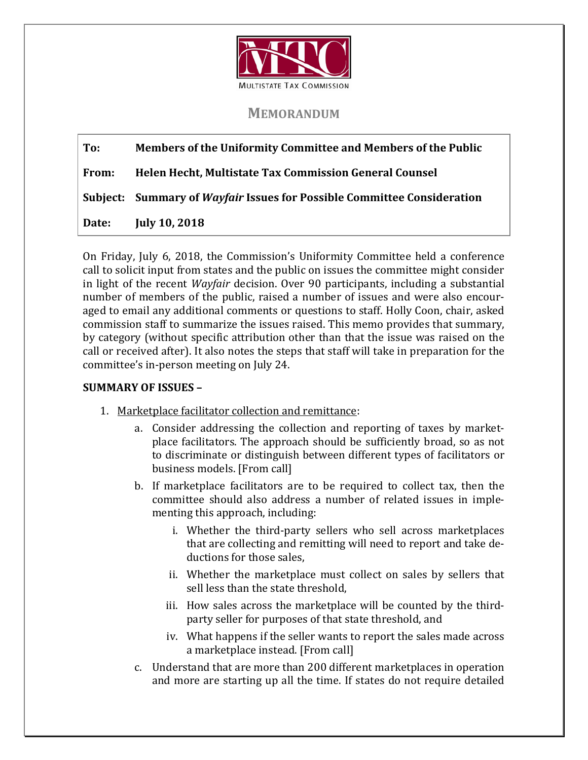

## **MEMORANDUM**

## **To: Members of the Uniformity Committee and Members of the Public**

**From: Helen Hecht, Multistate Tax Commission General Counsel**

**Subject: Summary of** *Wayfair* **Issues for Possible Committee Consideration**

**Date: July 10, 2018**

On Friday, July 6, 2018, the Commission's Uniformity Committee held a conference call to solicit input from states and the public on issues the committee might consider in light of the recent *Wayfair* decision. Over 90 participants, including a substantial number of members of the public, raised a number of issues and were also encouraged to email any additional comments or questions to staff. Holly Coon, chair, asked commission staff to summarize the issues raised. This memo provides that summary, by category (without specific attribution other than that the issue was raised on the call or received after). It also notes the steps that staff will take in preparation for the committee's in-person meeting on July 24.

## **SUMMARY OF ISSUES –**

- 1. Marketplace facilitator collection and remittance:
	- a. Consider addressing the collection and reporting of taxes by marketplace facilitators. The approach should be sufficiently broad, so as not to discriminate or distinguish between different types of facilitators or business models. [From call]
	- b. If marketplace facilitators are to be required to collect tax, then the committee should also address a number of related issues in implementing this approach, including:
		- i. Whether the third-party sellers who sell across marketplaces that are collecting and remitting will need to report and take deductions for those sales,
		- ii. Whether the marketplace must collect on sales by sellers that sell less than the state threshold,
		- iii. How sales across the marketplace will be counted by the thirdparty seller for purposes of that state threshold, and
		- iv. What happens if the seller wants to report the sales made across a marketplace instead. [From call]
	- c. Understand that are more than 200 different marketplaces in operation and more are starting up all the time. If states do not require detailed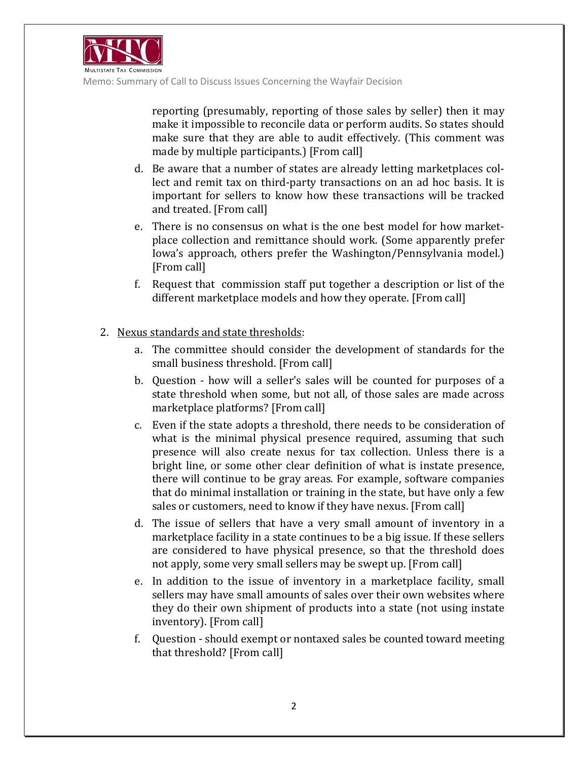

reporting (presumably, reporting of those sales by seller) then it may make it impossible to reconcile data or perform audits. So states should make sure that they are able to audit effectively. (This comment was made by multiple participants.) [From call]

- d. Be aware that a number of states are already letting marketplaces collect and remit tax on third-party transactions on an ad hoc basis. It is important for sellers to know how these transactions will be tracked and treated. [From call]
- e. There is no consensus on what is the one best model for how marketplace collection and remittance should work. (Some apparently prefer Iowa's approach, others prefer the Washington/Pennsylvania model.) [From call]
- f. Request that commission staff put together a description or list of the different marketplace models and how they operate. [From call]
- 2. Nexus standards and state thresholds:
	- a. The committee should consider the development of standards for the small business threshold. [From call]
	- b. Question how will a seller's sales will be counted for purposes of a state threshold when some, but not all, of those sales are made across marketplace platforms? [From call]
	- c. Even if the state adopts a threshold, there needs to be consideration of what is the minimal physical presence required, assuming that such presence will also create nexus for tax collection. Unless there is a bright line, or some other clear definition of what is instate presence, there will continue to be gray areas. For example, software companies that do minimal installation or training in the state, but have only a few sales or customers, need to know if they have nexus. [From call]
	- d. The issue of sellers that have a very small amount of inventory in a marketplace facility in a state continues to be a big issue. If these sellers are considered to have physical presence, so that the threshold does not apply, some very small sellers may be swept up. [From call]
	- e. In addition to the issue of inventory in a marketplace facility, small sellers may have small amounts of sales over their own websites where they do their own shipment of products into a state (not using instate inventory). [From call]
	- f. Question should exempt or nontaxed sales be counted toward meeting that threshold? [From call]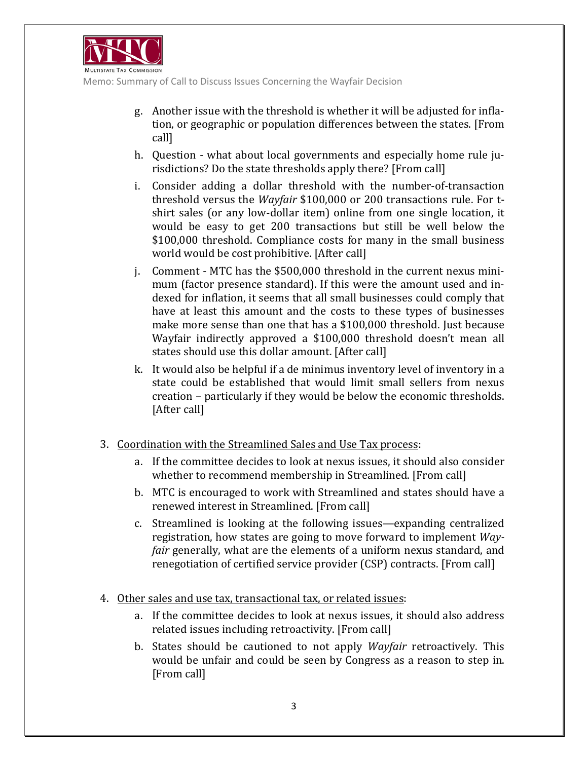

Memo: Summary of Call to Discuss Issues Concerning the Wayfair Decision

- g. Another issue with the threshold is whether it will be adjusted for inflation, or geographic or population differences between the states. [From call]
- h. Question what about local governments and especially home rule jurisdictions? Do the state thresholds apply there? [From call]
- i. Consider adding a dollar threshold with the number-of-transaction threshold versus the *Wayfair* \$100,000 or 200 transactions rule. For tshirt sales (or any low-dollar item) online from one single location, it would be easy to get 200 transactions but still be well below the \$100,000 threshold. Compliance costs for many in the small business world would be cost prohibitive. [After call]
- j. Comment MTC has the \$500,000 threshold in the current nexus minimum (factor presence standard). If this were the amount used and indexed for inflation, it seems that all small businesses could comply that have at least this amount and the costs to these types of businesses make more sense than one that has a \$100,000 threshold. Just because Wayfair indirectly approved a \$100,000 threshold doesn't mean all states should use this dollar amount. [After call]
- k. It would also be helpful if a de minimus inventory level of inventory in a state could be established that would limit small sellers from nexus creation – particularly if they would be below the economic thresholds. [After call]
- 3. Coordination with the Streamlined Sales and Use Tax process:
	- a. If the committee decides to look at nexus issues, it should also consider whether to recommend membership in Streamlined. [From call]
	- b. MTC is encouraged to work with Streamlined and states should have a renewed interest in Streamlined. [From call]
	- c. Streamlined is looking at the following issues—expanding centralized registration, how states are going to move forward to implement *Wayfair* generally, what are the elements of a uniform nexus standard, and renegotiation of certified service provider (CSP) contracts. [From call]
- 4. Other sales and use tax, transactional tax, or related issues:
	- a. If the committee decides to look at nexus issues, it should also address related issues including retroactivity. [From call]
	- b. States should be cautioned to not apply *Wayfair* retroactively. This would be unfair and could be seen by Congress as a reason to step in. [From call]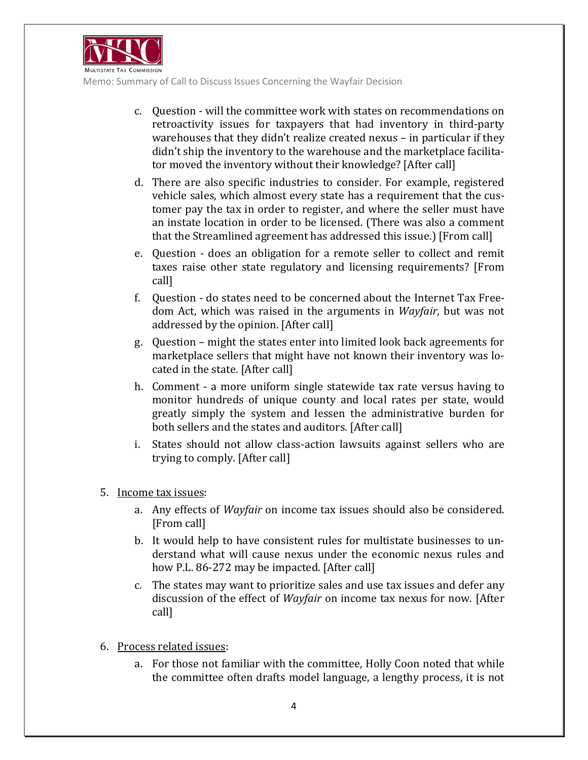

Memo: Summary of Call to Discuss Issues Concerning the Wayfair Decision

- c. Question will the committee work with states on recommendations on retroactivity issues for taxpayers that had inventory in third-party warehouses that they didn't realize created nexus – in particular if they didn't ship the inventory to the warehouse and the marketplace facilitator moved the inventory without their knowledge? [After call]
- d. There are also specific industries to consider. For example, registered vehicle sales, which almost every state has a requirement that the customer pay the tax in order to register, and where the seller must have an instate location in order to be licensed. (There was also a comment that the Streamlined agreement has addressed this issue.) [From call]
- e. Question does an obligation for a remote seller to collect and remit taxes raise other state regulatory and licensing requirements? [From call]
- f. Question do states need to be concerned about the Internet Tax Freedom Act, which was raised in the arguments in *Wayfair*, but was not addressed by the opinion. [After call]
- g. Question might the states enter into limited look back agreements for marketplace sellers that might have not known their inventory was located in the state. [After call]
- h. Comment a more uniform single statewide tax rate versus having to monitor hundreds of unique county and local rates per state, would greatly simply the system and lessen the administrative burden for both sellers and the states and auditors. [After call]
- i. States should not allow class-action lawsuits against sellers who are trying to comply. [After call]
- 5. Income tax issues:
	- a. Any effects of *Wayfair* on income tax issues should also be considered. [From call]
	- b. It would help to have consistent rules for multistate businesses to understand what will cause nexus under the economic nexus rules and how P.L. 86-272 may be impacted. [After call]
	- c. The states may want to prioritize sales and use tax issues and defer any discussion of the effect of *Wayfair* on income tax nexus for now. [After call]
- 6. Process related issues:
	- a. For those not familiar with the committee, Holly Coon noted that while the committee often drafts model language, a lengthy process, it is not